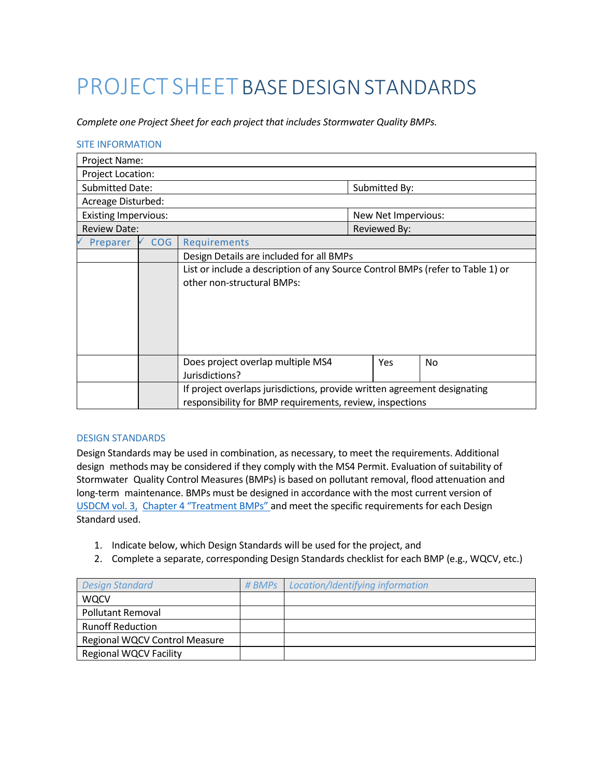# PROJECT SHEET BASE DESIGN STANDARDS

*Complete one Project Sheet for each project that includes Stormwater Quality BMPs.*

#### SITE INFORMATION

| Project Name:               |            |                                                                                                                                      |  |                     |     |
|-----------------------------|------------|--------------------------------------------------------------------------------------------------------------------------------------|--|---------------------|-----|
| <b>Project Location:</b>    |            |                                                                                                                                      |  |                     |     |
| <b>Submitted Date:</b>      |            |                                                                                                                                      |  | Submitted By:       |     |
| Acreage Disturbed:          |            |                                                                                                                                      |  |                     |     |
| <b>Existing Impervious:</b> |            |                                                                                                                                      |  | New Net Impervious: |     |
| <b>Review Date:</b>         |            |                                                                                                                                      |  | Reviewed By:        |     |
| Preparer                    | <b>COG</b> | Requirements                                                                                                                         |  |                     |     |
|                             |            | Design Details are included for all BMPs                                                                                             |  |                     |     |
|                             |            | List or include a description of any Source Control BMPs (refer to Table 1) or<br>other non-structural BMPs:                         |  |                     |     |
|                             |            | Does project overlap multiple MS4<br>Jurisdictions?                                                                                  |  | Yes                 | No. |
|                             |            | If project overlaps jurisdictions, provide written agreement designating<br>responsibility for BMP requirements, review, inspections |  |                     |     |

#### DESIGN STANDARDS

Design Standards may be used in combination, as necessary, to meet the requirements. Additional design methods may be considered if they comply with the MS4 Permit. Evaluation of suitability of Stormwater Quality Control Measures (BMPs) is based on pollutant removal, flood attenuation and long-term maintenance. BMPs must be designed in accordance with the most current version of [USDCM vol.](https://udfcd.org/volume-three) 3, Chapter 4 ["Treatment BMPs"](https://udfcd.org/volume-three) and meet the specific requirements for each Design Standard used.

- 1. Indicate below, which Design Standards will be used for the project, and
- 2. Complete a separate, corresponding Design Standards checklist for each BMP (e.g., WQCV, etc.)

| <b>Design Standard</b>        | # BMPs   Location/Identifying information |
|-------------------------------|-------------------------------------------|
| <b>WQCV</b>                   |                                           |
| <b>Pollutant Removal</b>      |                                           |
| <b>Runoff Reduction</b>       |                                           |
| Regional WQCV Control Measure |                                           |
| <b>Regional WQCV Facility</b> |                                           |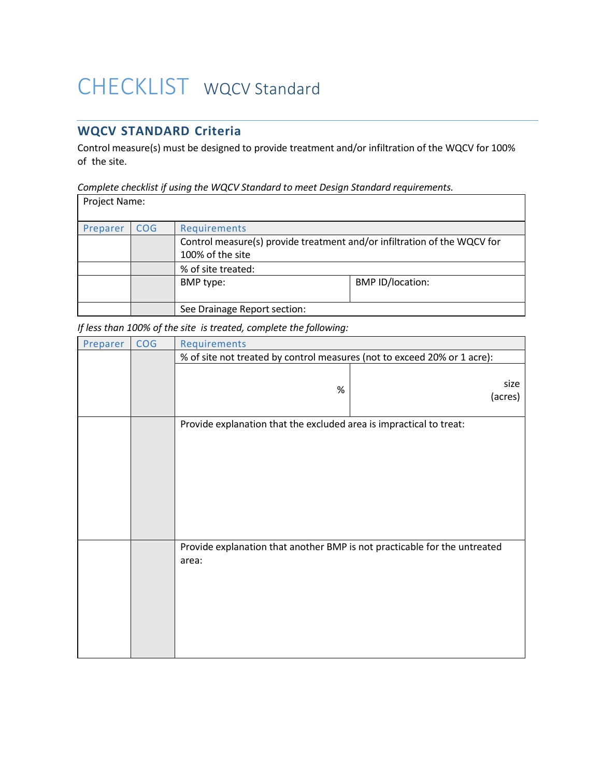## CHECKLIST WQCV Standard

### **WQCV STANDARD Criteria**

Control measure(s) must be designed to provide treatment and/or infiltration of the WQCV for 100% of the site.

*Complete checklist if using the WQCV Standard to meet Design Standard requirements.*

| Project Name: |            |                                                                                              |                         |
|---------------|------------|----------------------------------------------------------------------------------------------|-------------------------|
| Preparer      | <b>COG</b> | Requirements                                                                                 |                         |
|               |            | Control measure(s) provide treatment and/or infiltration of the WQCV for<br>100% of the site |                         |
|               |            | % of site treated:                                                                           |                         |
|               |            | BMP type:                                                                                    | <b>BMP ID/location:</b> |
|               |            | See Drainage Report section:                                                                 |                         |

*If less than 100% of the site is treated, complete the following:*

| Preparer | <b>COG</b> | Requirements                                                                       |                 |
|----------|------------|------------------------------------------------------------------------------------|-----------------|
|          |            | % of site not treated by control measures (not to exceed 20% or 1 acre):           |                 |
|          |            | $\%$                                                                               | size<br>(acres) |
|          |            | Provide explanation that the excluded area is impractical to treat:                |                 |
|          |            | Provide explanation that another BMP is not practicable for the untreated<br>area: |                 |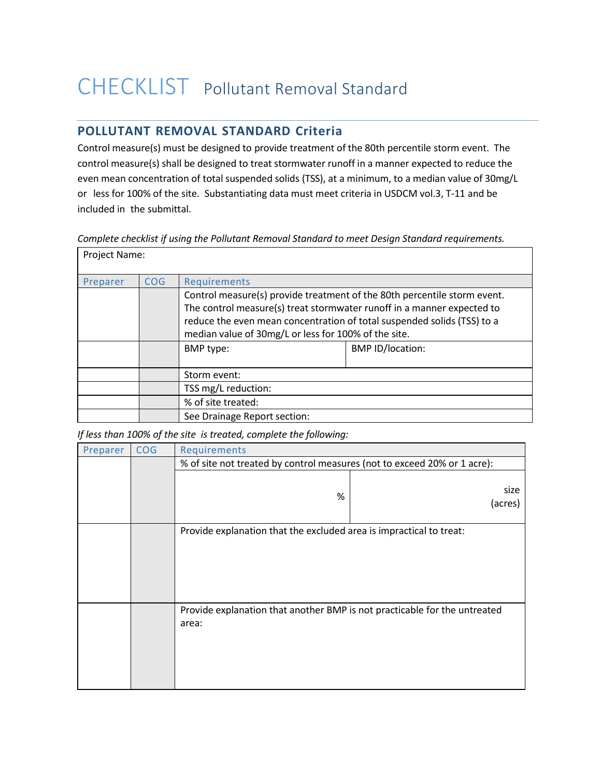### CHECKLIST Pollutant Removal Standard

### **POLLUTANT REMOVAL STANDARD Criteria**

Control measure(s) must be designed to provide treatment of the 80th percentile storm event. The control measure(s) shall be designed to treat stormwater runoff in a manner expected to reduce the even mean concentration of total suspended solids (TSS), at a minimum, to a median value of 30mg/L or less for 100% of the site. Substantiating data must meet criteria in USDCM vol.3, T-11 and be included in the submittal.

|  | Complete checklist if using the Pollutant Removal Standard to meet Design Standard requirements. |  |
|--|--------------------------------------------------------------------------------------------------|--|
|  |                                                                                                  |  |
|  |                                                                                                  |  |

| Project Name: |            |                                                                                                                                                                                                                                                                                       |                         |
|---------------|------------|---------------------------------------------------------------------------------------------------------------------------------------------------------------------------------------------------------------------------------------------------------------------------------------|-------------------------|
| Preparer      | <b>COG</b> | Requirements                                                                                                                                                                                                                                                                          |                         |
|               |            | Control measure(s) provide treatment of the 80th percentile storm event.<br>The control measure(s) treat stormwater runoff in a manner expected to<br>reduce the even mean concentration of total suspended solids (TSS) to a<br>median value of 30mg/L or less for 100% of the site. |                         |
|               |            | BMP type:                                                                                                                                                                                                                                                                             | <b>BMP ID/location:</b> |
|               |            | Storm event:                                                                                                                                                                                                                                                                          |                         |
|               |            | TSS mg/L reduction:                                                                                                                                                                                                                                                                   |                         |
|               |            | % of site treated:                                                                                                                                                                                                                                                                    |                         |
|               |            | See Drainage Report section:                                                                                                                                                                                                                                                          |                         |

*If less than 100% of the site is treated, complete the following:*

| Preparer | <b>COG</b> | Requirements                                                                       |                 |
|----------|------------|------------------------------------------------------------------------------------|-----------------|
|          |            | % of site not treated by control measures (not to exceed 20% or 1 acre):           |                 |
|          |            | %                                                                                  | size<br>(acres) |
|          |            | Provide explanation that the excluded area is impractical to treat:                |                 |
|          |            | Provide explanation that another BMP is not practicable for the untreated<br>area: |                 |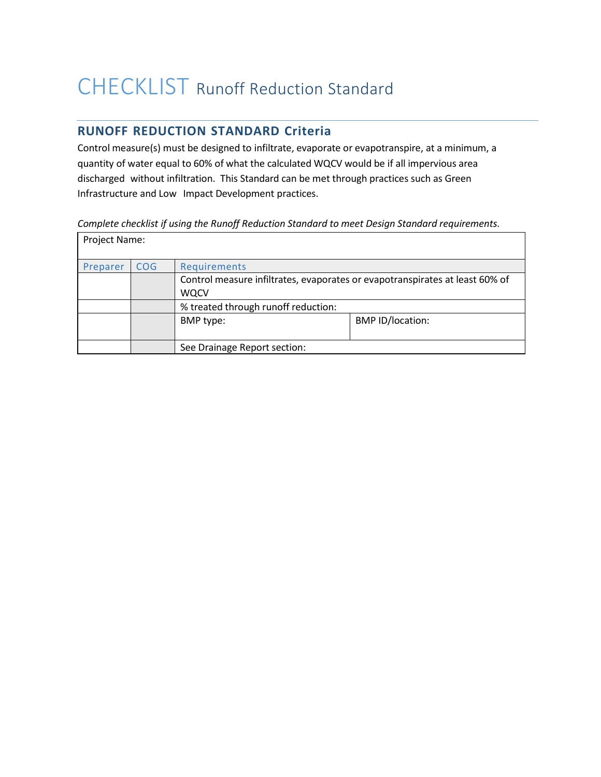## CHECKLIST Runoff Reduction Standard

### **RUNOFF REDUCTION STANDARD Criteria**

Control measure(s) must be designed to infiltrate, evaporate or evapotranspire, at a minimum, a quantity of water equal to 60% of what the calculated WQCV would be if all impervious area discharged without infiltration. This Standard can be met through practices such as Green Infrastructure and Low Impact Development practices.

#### *Complete checklist if using the Runoff Reduction Standard to meet Design Standard requirements.*

| Project Name: |                 |                                                                                             |                         |
|---------------|-----------------|---------------------------------------------------------------------------------------------|-------------------------|
| Preparer      | CO <sub>G</sub> | Requirements                                                                                |                         |
|               |                 | Control measure infiltrates, evaporates or evapotranspirates at least 60% of<br><b>WQCV</b> |                         |
|               |                 | % treated through runoff reduction:                                                         |                         |
|               |                 | BMP type:                                                                                   | <b>BMP ID/location:</b> |
|               |                 | See Drainage Report section:                                                                |                         |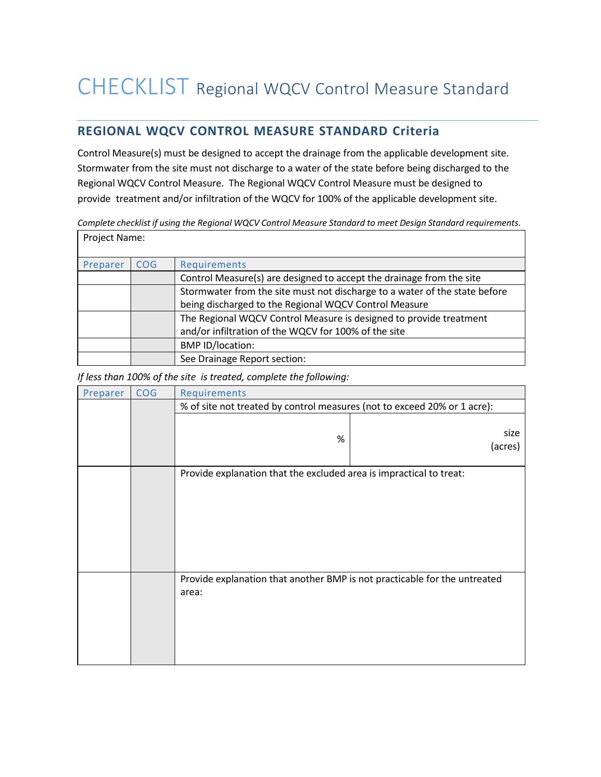### **REGIONAL WQCV CONTROL MEASURE STANDARD Criteria**

Control Measure(s) must be designed to accept the drainage from the applicable development site. Stormwater from the site must not discharge to a water of the state before being discharged to the Regional WQCV Control Measure. The Regional WQCV Control Measure must be designed to provide treatment and/or infiltration of the WQCV for 100% of the applicable development site.

*Complete checklist if using the Regional WQCV Control Measure Standard to meet Design Standard requirements.*

| Project Name: |            |                                                                            |
|---------------|------------|----------------------------------------------------------------------------|
| Preparer      | <b>COG</b> | Requirements                                                               |
|               |            | Control Measure(s) are designed to accept the drainage from the site       |
|               |            | Stormwater from the site must not discharge to a water of the state before |
|               |            | being discharged to the Regional WQCV Control Measure                      |
|               |            | The Regional WQCV Control Measure is designed to provide treatment         |
|               |            | and/or infiltration of the WQCV for 100% of the site                       |
|               |            | <b>BMP ID/location:</b>                                                    |
|               |            | See Drainage Report section:                                               |

*If less than 100% of the site is treated, complete the following:*

| Preparer | <b>COG</b> | Requirements                                                                       |                 |
|----------|------------|------------------------------------------------------------------------------------|-----------------|
|          |            | % of site not treated by control measures (not to exceed 20% or 1 acre):           |                 |
|          |            | $\%$                                                                               | size<br>(acres) |
|          |            | Provide explanation that the excluded area is impractical to treat:                |                 |
|          |            |                                                                                    |                 |
|          |            | Provide explanation that another BMP is not practicable for the untreated<br>area: |                 |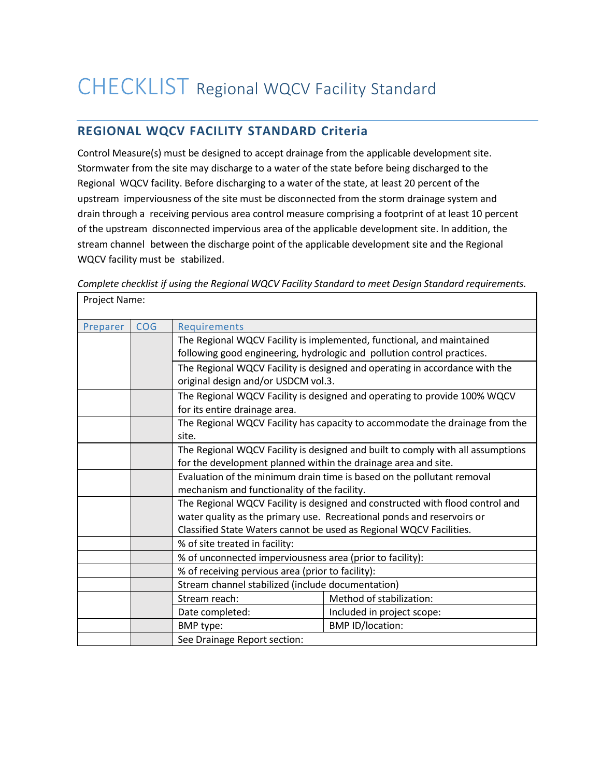## CHECKLIST Regional WQCV Facility Standard

### **REGIONAL WQCV FACILITY STANDARD Criteria**

Control Measure(s) must be designed to accept drainage from the applicable development site. Stormwater from the site may discharge to a water of the state before being discharged to the Regional WQCV facility. Before discharging to a water of the state, at least 20 percent of the upstream imperviousness of the site must be disconnected from the storm drainage system and drain through a receiving pervious area control measure comprising a footprint of at least 10 percent of the upstream disconnected impervious area of the applicable development site. In addition, the stream channel between the discharge point of the applicable development site and the Regional WQCV facility must be stabilized.

| Project Name: |            |                                                                                 |                                                                             |  |
|---------------|------------|---------------------------------------------------------------------------------|-----------------------------------------------------------------------------|--|
| Preparer      | <b>COG</b> | Requirements                                                                    |                                                                             |  |
|               |            | The Regional WQCV Facility is implemented, functional, and maintained           |                                                                             |  |
|               |            |                                                                                 | following good engineering, hydrologic and pollution control practices.     |  |
|               |            |                                                                                 | The Regional WQCV Facility is designed and operating in accordance with the |  |
|               |            | original design and/or USDCM vol.3.                                             |                                                                             |  |
|               |            | for its entire drainage area.                                                   | The Regional WQCV Facility is designed and operating to provide 100% WQCV   |  |
|               |            | The Regional WQCV Facility has capacity to accommodate the drainage from the    |                                                                             |  |
|               |            | site.                                                                           |                                                                             |  |
|               |            | The Regional WQCV Facility is designed and built to comply with all assumptions |                                                                             |  |
|               |            | for the development planned within the drainage area and site.                  |                                                                             |  |
|               |            | Evaluation of the minimum drain time is based on the pollutant removal          |                                                                             |  |
|               |            | mechanism and functionality of the facility.                                    |                                                                             |  |
|               |            | The Regional WQCV Facility is designed and constructed with flood control and   |                                                                             |  |
|               |            | water quality as the primary use. Recreational ponds and reservoirs or          |                                                                             |  |
|               |            |                                                                                 | Classified State Waters cannot be used as Regional WQCV Facilities.         |  |
|               |            | % of site treated in facility:                                                  |                                                                             |  |
|               |            | % of unconnected imperviousness area (prior to facility):                       |                                                                             |  |
|               |            | % of receiving pervious area (prior to facility):                               |                                                                             |  |
|               |            | Stream channel stabilized (include documentation)                               |                                                                             |  |
|               |            | Stream reach:                                                                   | Method of stabilization:                                                    |  |
|               |            | Date completed:                                                                 | Included in project scope:                                                  |  |
|               |            | BMP type:                                                                       | <b>BMP ID/location:</b>                                                     |  |
|               |            | See Drainage Report section:                                                    |                                                                             |  |

*Complete checklist if using the Regional WQCV Facility Standard to meet Design Standard requirements.*